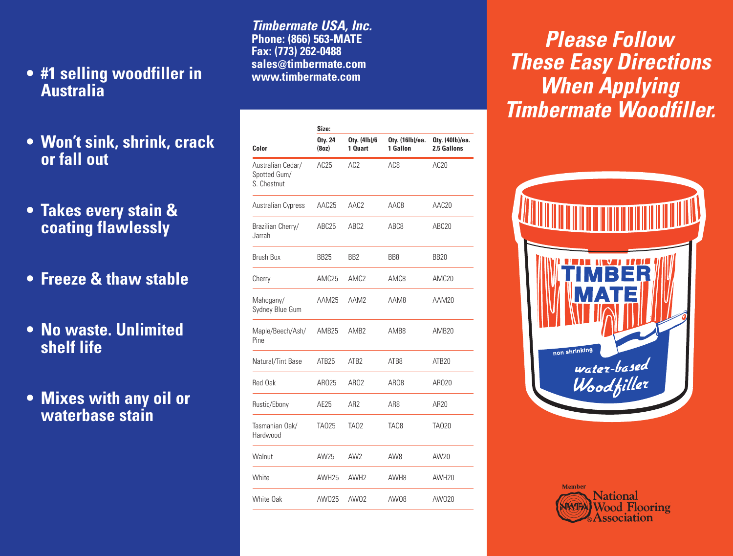- **#1 selling woodfiller in Australia**
- **Won't sink, shrink, crack or fall out**
- **Takes every stain & coating flawlessly**
- **Freeze & thaw stable**
- **No waste. Unlimited shelf life**
- **Mixes with any oil or waterbase stain**

**Timbermate USA, Inc. Phone: (866) 563-MATE Fax: (773) 262-0488 sales@timbermate.com www.timbermate.com**

| Color                                            | Size:                   |                         |                             |                                |
|--------------------------------------------------|-------------------------|-------------------------|-----------------------------|--------------------------------|
|                                                  | <b>Oty. 24</b><br>(8oz) | Oty. (41b)/6<br>1 Quart | Oty. (16lb)/ea.<br>1 Gallon | Oty. (40lb)/ea.<br>2.5 Gallons |
| Australian Cedar/<br>Spotted Gum/<br>S. Chestnut | AC25                    | AC <sub>2</sub>         | AC8                         | AC <sub>20</sub>               |
| Australian Cypress                               | AAC25                   | AAC <sub>2</sub>        | AAC8                        | AAC <sub>20</sub>              |
| Brazilian Cherry/<br>Jarrah                      | ABC25                   | ABC <sub>2</sub>        | ABC8                        | ABC20                          |
| <b>Brush Box</b>                                 | BB25                    | BB2                     | BB8                         | <b>BB20</b>                    |
| Cherry                                           | AMC25                   | AMC <sub>2</sub>        | AMC8                        | AMC <sub>20</sub>              |
| Mahogany/<br>Sydney Blue Gum                     | AAM25                   | AAM2                    | AAM8                        | AAM20                          |
| Maple/Beech/Ash/<br>Pine                         | AMB <sub>25</sub>       | AMR <sub>2</sub>        | AMR8                        | AMB <sub>20</sub>              |
| Natural/Tint Base                                | ATB <sub>25</sub>       | ATB <sub>2</sub>        | ATB8                        | ATB <sub>20</sub>              |
| Red Oak                                          | AR025                   | ARO2                    | ARO8                        | AR020                          |
| Rustic/Ebony                                     | AE25                    | AR <sub>2</sub>         | AR8                         | AR20                           |
| Tasmanian Oak/<br>Hardwood                       | TA025                   | TA02                    | TA08                        | <b>TA020</b>                   |
| Walnut                                           | AW25                    | AW <sub>2</sub>         | AW8                         | AW20                           |
| White                                            | AWH25                   | AWH <sub>2</sub>        | AWH8                        | AWH <sub>20</sub>              |
| White Oak                                        | AW025                   | AW02                    | AW08                        | AW020                          |

**Please Follow These Easy Directions When Applying Timbermate Woodfiller.**